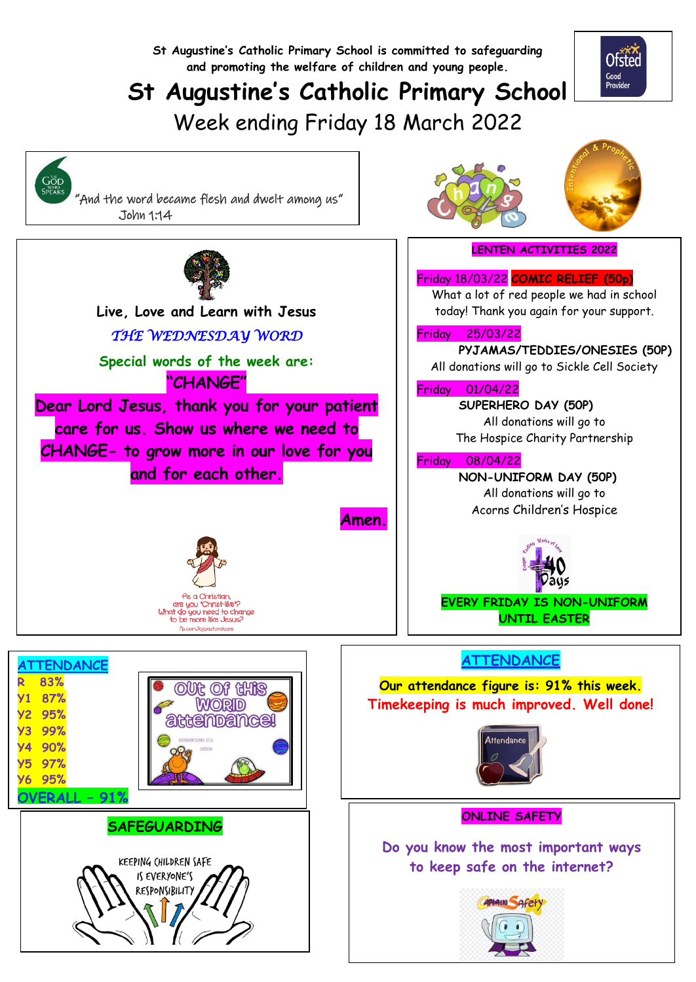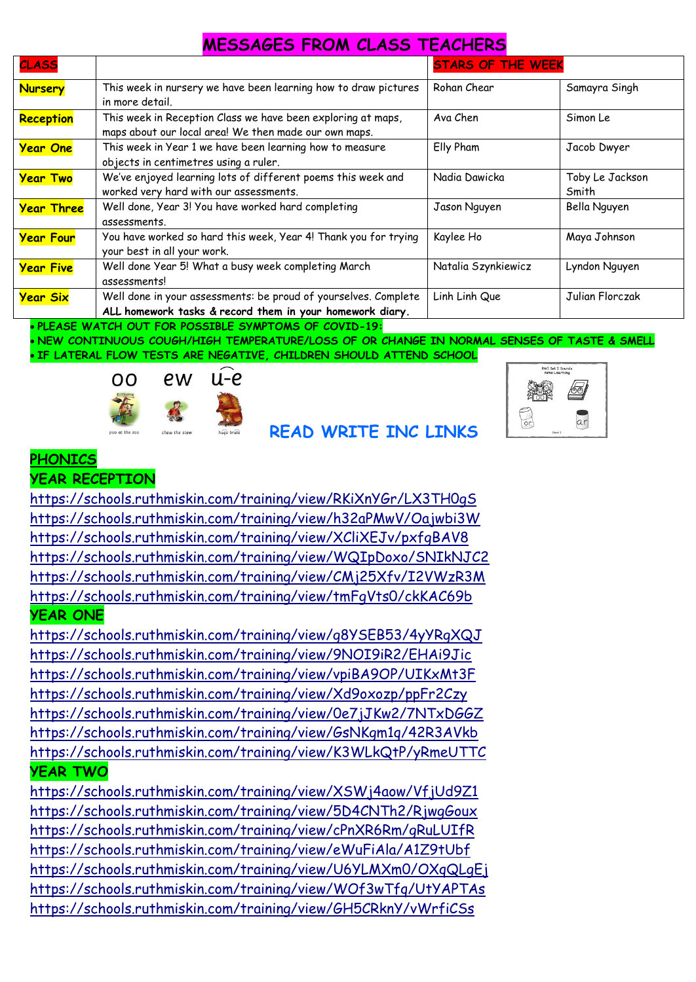### **MESSAGES FROM CLASS TEACHERS**

| <b>CLASS</b>      |                                                                 | <b>STARS OF THE WEEK</b> |                 |
|-------------------|-----------------------------------------------------------------|--------------------------|-----------------|
| <b>Nursery</b>    | This week in nursery we have been learning how to draw pictures | Rohan Chear              | Samayra Singh   |
|                   | in more detail.                                                 |                          |                 |
| <b>Reception</b>  | This week in Reception Class we have been exploring at maps,    | Ava Chen                 | Simon Le        |
|                   | maps about our local area! We then made our own maps.           |                          |                 |
| <b>Year One</b>   | This week in Year 1 we have been learning how to measure        | Elly Pham                | Jacob Dwyer     |
|                   | objects in centimetres using a ruler.                           |                          |                 |
| <b>Year Two</b>   | We've enjoyed learning lots of different poems this week and    | Nadia Dawicka            | Toby Le Jackson |
|                   | worked very hard with our assessments.                          |                          | Smith           |
| <b>Year Three</b> | Well done, Year 3! You have worked hard completing              | Jason Nguyen             | Bella Nguyen    |
|                   | assessments.                                                    |                          |                 |
| <b>Year Four</b>  | You have worked so hard this week, Year 4! Thank you for trying | Kaylee Ho                | Maya Johnson    |
|                   | your best in all your work.                                     |                          |                 |
| <b>Year Five</b>  | Well done Year 5! What a busy week completing March             | Natalia Szynkiewicz      | Lyndon Nguyen   |
|                   | assessments!                                                    |                          |                 |
| <b>Year Six</b>   | Well done in your assessments: be proud of yourselves. Complete | Linh Linh Que            | Julian Florczak |
|                   | ALL homework tasks & record them in your homework diary.        |                          |                 |

#### **PLEASE WATCH OUT FOR POSSIBLE SYMPTOMS OF COVID-19:**

 **NEW CONTINUOUS COUGH/HIGH TEMPERATURE/LOSS OF OR CHANGE IN NORMAL SENSES OF TASTE & SMELL IF LATERAL FLOW TESTS ARE NEGATIVE, CHILDREN SHOULD ATTEND SCHOOL**

![](_page_1_Picture_4.jpeg)

#### **READ WRITE INC LINKS**

![](_page_1_Picture_6.jpeg)

**YEAR RECEPTION**

<https://schools.ruthmiskin.com/training/view/RKiXnYGr/LX3TH0gS> <https://schools.ruthmiskin.com/training/view/h32aPMwV/Oajwbi3W> <https://schools.ruthmiskin.com/training/view/XCliXEJv/pxfgBAV8> <https://schools.ruthmiskin.com/training/view/WQIpDoxo/SNIkNJC2> <https://schools.ruthmiskin.com/training/view/CMj25Xfv/I2VWzR3M> <https://schools.ruthmiskin.com/training/view/tmFgVts0/ckKAC69b> **YEAR ONE**

<https://schools.ruthmiskin.com/training/view/g8YSEB53/4yYRgXQJ> <https://schools.ruthmiskin.com/training/view/9NOI9iR2/EHAi9Jic> <https://schools.ruthmiskin.com/training/view/vpiBA9OP/UIKxMt3F> <https://schools.ruthmiskin.com/training/view/Xd9oxozp/ppFr2Czy> <https://schools.ruthmiskin.com/training/view/0e7jJKw2/7NTxDGGZ> <https://schools.ruthmiskin.com/training/view/GsNKgm1q/42R3AVkb> <https://schools.ruthmiskin.com/training/view/K3WLkQtP/yRmeUTTC> **YEAR TWO**

<https://schools.ruthmiskin.com/training/view/XSWj4aow/VfjUd9Z1> <https://schools.ruthmiskin.com/training/view/5D4CNTh2/RjwgGoux> <https://schools.ruthmiskin.com/training/view/cPnXR6Rm/gRuLUIfR> <https://schools.ruthmiskin.com/training/view/eWuFiAla/A1Z9tUbf> <https://schools.ruthmiskin.com/training/view/U6YLMXm0/OXqQLgEj> <https://schools.ruthmiskin.com/training/view/WOf3wTfq/UtYAPTAs> <https://schools.ruthmiskin.com/training/view/GH5CRknY/vWrfiCSs>

![](_page_1_Picture_11.jpeg)